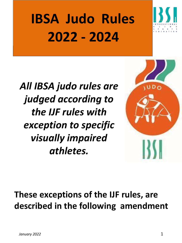# **IBSA Judo Rules 2022 - 2024**



*All IBSA judo rules are judged according to the IJF rules with exception to specific visually impaired athletes.* 



### **These exceptions of the IJF rules, are described in the following amendment**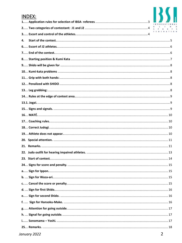| <b>INDEX:</b> |  |
|---------------|--|
|               |  |
|               |  |
|               |  |
| 4.            |  |
|               |  |
|               |  |
|               |  |
|               |  |
|               |  |
|               |  |
|               |  |
|               |  |
|               |  |
|               |  |
|               |  |
|               |  |
|               |  |
|               |  |
|               |  |
|               |  |
|               |  |
|               |  |
|               |  |
|               |  |
|               |  |
|               |  |
|               |  |
|               |  |
|               |  |
|               |  |
|               |  |
|               |  |
|               |  |
|               |  |
|               |  |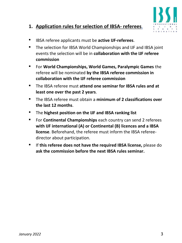

### <span id="page-2-0"></span>**1. Application rules for selection of IBSA- referees**.

- IBSA referee applicants must be **active IJF-referees**.
- The selection for IBSA World Championships and IJF and IBSA joint events the selection will be in **collaboration with the IJF referee commission**
- For **World Championships, World Games, Paralympic Games** the referee will be nominated **by the IBSA referee commission in collaboration with the IJF referee commission**
- The IBSA referee must **attend one seminar for IBSA rules and at least one over the past 2 years**.
- The IBSA referee must obtain a **minimum of 2 classifications over the last 12 months**.
- The **highest position on the IJF and IBSA ranking list**
- For **Continental Championships** each country can send 2 referees **with IJF international (A) or Continental (B) licences and a IBSA license**. Beforehand, the referee must inform the IBSA refereedirector about participation.
- If **this referee does not have the required IBSA license,** please do **ask the commission before the next IBSA rules seminar.**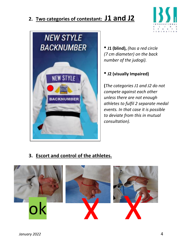### <span id="page-3-0"></span>**2. Two categories of contestant: J1 and J2**





• **J1 (blind),** *(has a red circle (7 cm diameter) on the back number of the judogi).*

• **J2 (visually Impaired)** 

**(***The categories J1 and J2 do not compete against each other unless there are not enough athletes to fulfil 2 separate medal events. In that case it is possible to deviate from this in mutual consultation).*

**3. Escort and control of the athletes.**

<span id="page-3-1"></span>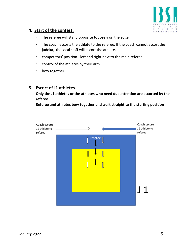

### <span id="page-4-0"></span>**4. Start of the contest.**

- **-** The referee will stand opposite to Joseki on the edge.
- **-** The coach escorts the athlete to the referee. If the coach cannot escort the judoka, the local staff will escort the athlete.
- **-** competitors' position left and right next to the main referee.
- **-** control of the athletes by their arm.
- **-** bow together.

### **5. Escort of J1 athletes.**

**Only the J1 athletes or the athletes who need due attention are escorted by the referee.** 

**Referee and athletes bow together and walk straight to the starting position**

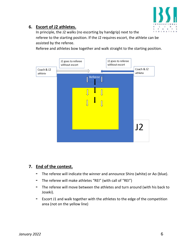

### <span id="page-5-0"></span>**6. Escort of J2 athletes.**

In principle, the J2 walks (no escorting by handgrip) next to the referee to the starting position. If the J2 requires escort, the athlete can be assisted by the referee.

Referee and athletes bow together and walk straight to the starting position.



### <span id="page-5-1"></span>**7. End of the contest.**

- **-** The referee will indicate the winner and announce Shiro (white) or Ao (blue).
- **-** The referee will make athletes "REI" (with call of "REI")
- **-** The referee will move between the athletes and turn around (with his back to Joseki).
- **-** Escort J1 and walk together with the athletes to the edge of the competition area (not on the yellow line)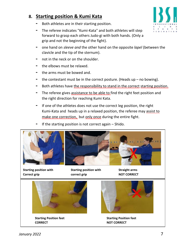### <span id="page-6-0"></span>**8. Starting position & Kumi Kata**

- **-** Both athletes are in their starting position.
- **-** The referee indicates "Kumi-Kata" and both athletes will step forward to grasp each others Judo-gi with both hands. (Only a grip and not the beginning of the fight).
- **-** one hand on *sleeve and* the other hand on the opposite *lapel* (between the clavicle and the tip of the sternum).
- **-** not in the neck or on the shoulder.
- **-** the elbows must be relaxed.
- **-** the arms must be bowed and.
- **-** the contestant must be in the correct posture. (Heads up no bowing).
- Both athletes have the responsibility to stand in the correct starting position.
- **-** The referee gives assistance to be able to find the right feet position and the right direction for reaching Kumi Kata.
- **-** If one of the athletes does not use the correct leg position, the right Kumi-Kata and heads up in a relaxed position, the referee may assist to make one correction, but only once during the entire fight.
- **-** If the starting position is not correct again Shido.



**Starting position with Starting position with Straight arms Correct grip correct grip CORRECT** 



**Starting Position feet Starting Position feet CORRECT NOT CORRECT**



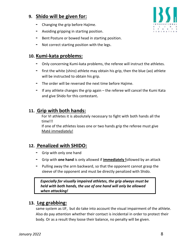### <span id="page-7-0"></span>**9. Shido will be given for:**

- **-** Changing the grip before Hajime.
- **-** Avoiding gripping in starting position.
- **-** Bent Posture or bowed head in starting position.
- **-** Not correct starting position with the legs.

### <span id="page-7-1"></span>**10. Kumi-kata problems:**

- **-** Only concerning Kumi-kata problems, the referee will instruct the athletes.
- **-** first the white (shiro) athlete may obtain his grip, then the blue (ao) athlete will be instructed to obtain his grip.
- **-** The order will be reversed the next time before Hajime.
- **-** If any athlete changes the grip again the referee will cancel the Kumi Kata and give Shido for this contestant**.**

### <span id="page-7-2"></span>**11. Grip with both hands:**

For VI athletes it is absolutely necessary to fight with both hands all the time!!!

If one of the athletes loses one or two hands grip the referee must give Maté immediately!

### <span id="page-7-3"></span>**12. Penalized with SHIDO:**

- **-** Grip with only one hand
- **-** Grip with **one hand** is only allowed if **immediately** followed by an attack
- **-** Pulling away the arm backward, so that the opponent cannot grasp the sleeve of the opponent and must be directly penalized with Shido.

 *Especially for visually impaired athletes, the grip always must be held with both hands, the use of one hand will only be allowed when attacking!*

### <span id="page-7-4"></span>**13. Leg grabbing:**

same system as IJF, but do take into account the visual impairment of the athlete. Also do pay attention whether their contact is incidental in order to protect their body. Or as a result they loose their balance, no penalty will be given.

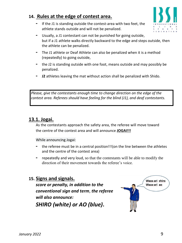### <span id="page-8-0"></span>**14. Rules at the edge of contest area.**

**-** If the J1 is standing outside the contest-area with two feet, the athlete stands outside and will not be penalized.



- **-** Usually, a J1 contestant can not be punished for going outside, but if a J1 athlete walks directly backward to the edge and steps outside, then the athlete can be penalized.
- **-** The J1 athlete or Deaf Athlete can also be penalized when it is a method (repeatedly) to going outside,
- **-** the J2 is standing outside with one foot, means outside and may possibly be penalized.
- **- J2** athletes leaving the mat without action shall be penalized with Shido.

*Please, give the contestants enough time to change direction on the edge of the contest area. Referees should have feeling for the blind (J1), and deaf contestants.*

### <span id="page-8-1"></span>**13.1. Jogai.**

As the contestants approach the safety area, the referee will move toward the centre of the contest area and will announce **JOGAI!!!**

While announcing Jogai:

- **-** the referee must be in a central position!!!(on the line between the athletes and the centre of the contest area)
- **-** repeatedly and very loud, so that the contestants will be able to modify the direction of their movement towards the referee's voice.

### <span id="page-8-2"></span>**15. Signs and signals.**

*score or penalty, in addition to the conventional sign and term*, *the referee will also announce: SHIRO (white) or AO (blue)***.**

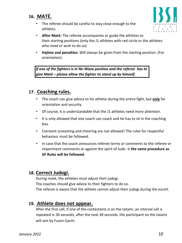### <span id="page-9-0"></span>**16. MATÉ.**

**-** The referee should be careful to stay close enough to the athletes.



- **- After Maté***:* The referee accompanies or guide the athletes to their starting positions *(*only the J1 athletes with red circle or the athletes who need or wish to do so).
- **- Hajime and penalties:** Will always be given from the starting position. (For orientation).

*If one of the fighters is in Ne-Waza position and the referee has to give Maté – please allow the fighter to stand up by himself***.** 

### <span id="page-9-1"></span>**17. Coaching rules.**

- **-** The coach can give advice to his athlete during the entire fight, but **only** for orientation and security.
- **-** Of course, it is understandable that the J1 athletes need more attention.
- **-** It is only allowed that one coach can coach and he has to sit in the coaching box.
- **-** Constant screaming and cheering are not allowed! The rules for respectful behaviour must be followed.
- **-** In case that the coach announces referee terms or comments to the referee or impertinent comments or against the spirit of Judo  $\rightarrow$  **the same procedure as IJF Rules will be followed.**

### <span id="page-9-2"></span>**18. Correct Judogi.**

During maté, the athletes must adjust their judogi. The coaches should give advice to their fighters to do so. The referee is aware that the athlete cannot adjust their judogi during the escort.

### **19. Athlete does not appear.**

<span id="page-9-3"></span>After the first call, if one of the contestants is on the tatami, an interval call is repeated in 30 seconds, after the next 30 seconds, the participant on the tatami will win by Fusen-Gachi.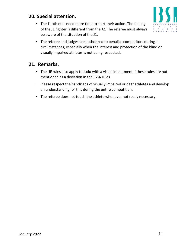### <span id="page-10-0"></span>**20. Special attention.**

**-** The J1 athletes need more time to start their action. The feeling of the J1 fighter is different from the J2. The referee must always be aware of the situation of the J1.



**-** The referee and judges are authorized to penalize competitors during all circumstances, especially when the interest and protection of the blind or visually impaired athletes is not being respected.

### <span id="page-10-1"></span>**21. Remarks.**

- **-** The IJF rules also apply to Judo with a visual impairment if these rules are not mentioned as a deviation in the IBSA rules.
- **-** Please respect the handicaps of visually impaired or deaf athletes and develop an understanding for this during the entire competition.
- **-** The referee does not touch the athlete whenever not really necessary.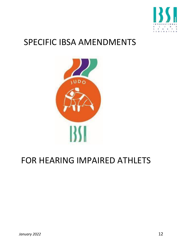

### SPECIFIC IBSA AMENDMENTS



### FOR HEARING IMPAIRED ATHLETS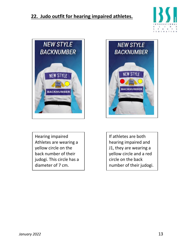### <span id="page-12-0"></span>**22. Judo outfit for hearing impaired athletes.**





Hearing impaired Athletes are wearing a yellow circle on the back number of their judogi. This circle has a diameter of 7 cm.



If athletes are both hearing impaired and J1, they are wearing a yellow circle and a red circle on the back number of their judogi.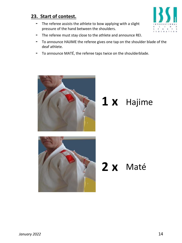### <span id="page-13-0"></span>**23. Start of contest.**

- **-** The referee assists the athlete to bow applying with a slight pressure of the hand between the shoulders.
- **-** The referee must stay close to the athlete and announce REI.
- **-** To announce HAJIME the referee gives one tap on the shoulder blade of the deaf athlete.
- **-** To announce MATÉ, the referee taps twice on the shoulderblade.



# **1 x** Hajime



# **2 x** Maté

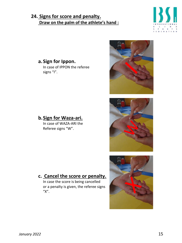### <span id="page-14-0"></span>**24. Signs for score and penalty. Draw on the palm of the athlete's hand :**



### <span id="page-14-1"></span>**a. Sign for Ippon.** In case of IPPON the referee signs "I".







### <span id="page-14-2"></span>**b.Sign for Waza-ari.**

In case of WAZA-ARI the Referee signs "W".

### <span id="page-14-3"></span>**c. Cancel the score or penalty.**

In case the score is being cancelled or a penalty is given, the referee signs "X".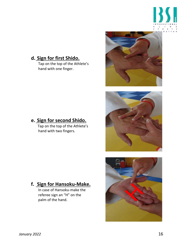

### <span id="page-15-0"></span>**d. Sign for first Shido.**

Tap on the top of the Athlete's hand with one finger.







### <span id="page-15-1"></span>**e. Sign for second Shido.**

 Tap on the top of the Athlete's hand with two fingers.

### <span id="page-15-2"></span>**f. Sign for Hansoku-Make.**

In case of Hansoku-make the referee sign an "H" on the palm of the hand.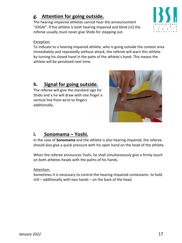### <span id="page-16-0"></span>**g. Attention for going outside.**

The hearing-impaired athletes cannot hear the announcement "JOGAI". If the athlete is both hearing impaired and blind (J1) the referee usually must never give Shido for stepping out.

#### Exception:

To indicate to a hearing-impaired athlete, who is going outside the contest area immediately and repeatedly without attack, the referee will warn this athlete by turning his closed hand in the palm of the athlete's hand. This means the athlete will be penalized next time.

### <span id="page-16-1"></span>**h. Signal for going outside.**

The referee will give the standard sign for Shido and a he will draw with one finger a vertical line from wrist to fingers additionally.



### <span id="page-16-2"></span>**i. Sonomama – Yoshi.**

In the case of **Sonomama** and the athlete is also hearing impaired, the referee should also give a quick pressure with his open hand on the head of the athlete.

When the referee announces Yoshi, he shall simultaneously give a firmly touch on both athletes heads with the palms of his hands.

#### Attention:

Sometimes it is necessary to control the hearing-impaired contestants to hold still – additionally with two hands – on the back of the head.